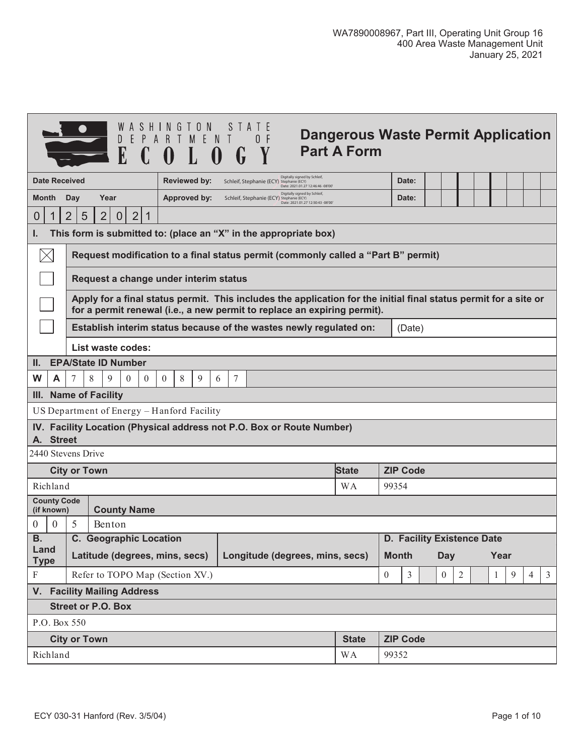|                                                        | Dangerous Waste Permit Application<br>D<br><b>Part A Form</b>                                                                                                                                |                                                                       |  |                     |  |  |  |                                          |  |                                                                   |  |              |  |                 |  |  |  |  |  |  |
|--------------------------------------------------------|----------------------------------------------------------------------------------------------------------------------------------------------------------------------------------------------|-----------------------------------------------------------------------|--|---------------------|--|--|--|------------------------------------------|--|-------------------------------------------------------------------|--|--------------|--|-----------------|--|--|--|--|--|--|
|                                                        | Digitally signed by Schleif,<br><b>Date Received</b><br><b>Reviewed by:</b><br>Schleif, Stephanie (ECY) Stephanie (ECY)<br>Date: 2021.01.27 12:46:46 -08'00'                                 |                                                                       |  |                     |  |  |  |                                          |  |                                                                   |  | Date:        |  |                 |  |  |  |  |  |  |
| <b>Month</b>                                           | <b>Day</b>                                                                                                                                                                                   | Year                                                                  |  | <b>Approved by:</b> |  |  |  | Schleif, Stephanie (ECY) Stephanie (ECY) |  | Digitally signed by Schleif,<br>Date: 2021.01.27 12:50:43 -08'00" |  |              |  | Date:           |  |  |  |  |  |  |
| 0<br>1                                                 | $\overline{2}$<br>$\overline{2}$<br>$\overline{2}$<br>5<br>1<br>$\overline{0}$                                                                                                               |                                                                       |  |                     |  |  |  |                                          |  |                                                                   |  |              |  |                 |  |  |  |  |  |  |
| ı.                                                     | This form is submitted to: (place an "X" in the appropriate box)                                                                                                                             |                                                                       |  |                     |  |  |  |                                          |  |                                                                   |  |              |  |                 |  |  |  |  |  |  |
|                                                        | Request modification to a final status permit (commonly called a "Part B" permit)                                                                                                            |                                                                       |  |                     |  |  |  |                                          |  |                                                                   |  |              |  |                 |  |  |  |  |  |  |
|                                                        | Request a change under interim status                                                                                                                                                        |                                                                       |  |                     |  |  |  |                                          |  |                                                                   |  |              |  |                 |  |  |  |  |  |  |
|                                                        | Apply for a final status permit. This includes the application for the initial final status permit for a site or<br>for a permit renewal (i.e., a new permit to replace an expiring permit). |                                                                       |  |                     |  |  |  |                                          |  |                                                                   |  |              |  |                 |  |  |  |  |  |  |
|                                                        | Establish interim status because of the wastes newly regulated on:<br>(Date)                                                                                                                 |                                                                       |  |                     |  |  |  |                                          |  |                                                                   |  |              |  |                 |  |  |  |  |  |  |
|                                                        | <b>List waste codes:</b>                                                                                                                                                                     |                                                                       |  |                     |  |  |  |                                          |  |                                                                   |  |              |  |                 |  |  |  |  |  |  |
| II.                                                    | <b>EPA/State ID Number</b>                                                                                                                                                                   |                                                                       |  |                     |  |  |  |                                          |  |                                                                   |  |              |  |                 |  |  |  |  |  |  |
| W<br>A                                                 | 8<br>9<br>7<br>$\theta$<br>$\theta$<br>$\overline{0}$<br>8<br>9<br>7<br>6                                                                                                                    |                                                                       |  |                     |  |  |  |                                          |  |                                                                   |  |              |  |                 |  |  |  |  |  |  |
|                                                        | III. Name of Facility                                                                                                                                                                        |                                                                       |  |                     |  |  |  |                                          |  |                                                                   |  |              |  |                 |  |  |  |  |  |  |
|                                                        |                                                                                                                                                                                              | US Department of Energy - Hanford Facility                            |  |                     |  |  |  |                                          |  |                                                                   |  |              |  |                 |  |  |  |  |  |  |
| A. Street                                              |                                                                                                                                                                                              | IV. Facility Location (Physical address not P.O. Box or Route Number) |  |                     |  |  |  |                                          |  |                                                                   |  |              |  |                 |  |  |  |  |  |  |
| 2440 Stevens Drive                                     |                                                                                                                                                                                              |                                                                       |  |                     |  |  |  |                                          |  |                                                                   |  |              |  |                 |  |  |  |  |  |  |
|                                                        | <b>City or Town</b>                                                                                                                                                                          |                                                                       |  |                     |  |  |  |                                          |  |                                                                   |  | <b>State</b> |  | <b>ZIP Code</b> |  |  |  |  |  |  |
| Richland                                               |                                                                                                                                                                                              |                                                                       |  |                     |  |  |  |                                          |  |                                                                   |  | <b>WA</b>    |  | 99354           |  |  |  |  |  |  |
| <b>County Code</b><br>(if known)                       |                                                                                                                                                                                              | <b>County Name</b>                                                    |  |                     |  |  |  |                                          |  |                                                                   |  |              |  |                 |  |  |  |  |  |  |
| $\theta$<br>$\theta$                                   | 5<br>Benton                                                                                                                                                                                  |                                                                       |  |                     |  |  |  |                                          |  |                                                                   |  |              |  |                 |  |  |  |  |  |  |
| <b>B.</b>                                              | <b>C. Geographic Location</b><br>D. Facility Existence Date                                                                                                                                  |                                                                       |  |                     |  |  |  |                                          |  |                                                                   |  |              |  |                 |  |  |  |  |  |  |
| Land<br><b>Type</b>                                    | Latitude (degrees, mins, secs)<br>Longitude (degrees, mins, secs)<br><b>Month</b><br>Year<br><b>Day</b>                                                                                      |                                                                       |  |                     |  |  |  |                                          |  |                                                                   |  |              |  |                 |  |  |  |  |  |  |
| ${\bf F}$                                              | Refer to TOPO Map (Section XV.)<br>$\overline{2}$<br>9<br>$\overline{4}$<br>$\mathfrak{Z}$<br>$\overline{0}$<br>$\mathfrak{Z}$<br>$\overline{0}$<br>1                                        |                                                                       |  |                     |  |  |  |                                          |  |                                                                   |  |              |  |                 |  |  |  |  |  |  |
| V. Facility Mailing Address                            |                                                                                                                                                                                              |                                                                       |  |                     |  |  |  |                                          |  |                                                                   |  |              |  |                 |  |  |  |  |  |  |
| <b>Street or P.O. Box</b>                              |                                                                                                                                                                                              |                                                                       |  |                     |  |  |  |                                          |  |                                                                   |  |              |  |                 |  |  |  |  |  |  |
| P.O. Box 550                                           |                                                                                                                                                                                              |                                                                       |  |                     |  |  |  |                                          |  |                                                                   |  |              |  |                 |  |  |  |  |  |  |
| <b>City or Town</b><br><b>ZIP Code</b><br><b>State</b> |                                                                                                                                                                                              |                                                                       |  |                     |  |  |  |                                          |  |                                                                   |  |              |  |                 |  |  |  |  |  |  |
| Richland                                               |                                                                                                                                                                                              |                                                                       |  |                     |  |  |  |                                          |  | <b>WA</b>                                                         |  | 99352        |  |                 |  |  |  |  |  |  |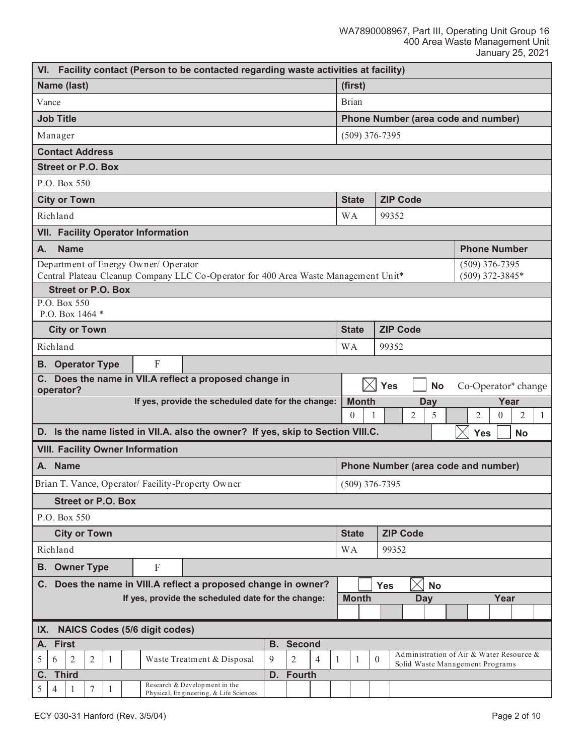|                                                                                                                                        |                                                                                                                   |             |                           |   |  |                                           | VI. Facility contact (Person to be contacted regarding waste activities at facility) |           |               |  |                                     |                                    |              |                 |                                                                             |  |                     |          |           |              |  |  |
|----------------------------------------------------------------------------------------------------------------------------------------|-------------------------------------------------------------------------------------------------------------------|-------------|---------------------------|---|--|-------------------------------------------|--------------------------------------------------------------------------------------|-----------|---------------|--|-------------------------------------|------------------------------------|--------------|-----------------|-----------------------------------------------------------------------------|--|---------------------|----------|-----------|--------------|--|--|
|                                                                                                                                        | Name (last)                                                                                                       |             |                           |   |  |                                           |                                                                                      |           |               |  |                                     | (first)                            |              |                 |                                                                             |  |                     |          |           |              |  |  |
|                                                                                                                                        | Vance                                                                                                             |             |                           |   |  |                                           |                                                                                      |           |               |  |                                     | <b>Brian</b>                       |              |                 |                                                                             |  |                     |          |           |              |  |  |
|                                                                                                                                        | <b>Job Title</b>                                                                                                  |             |                           |   |  |                                           |                                                                                      |           |               |  | Phone Number (area code and number) |                                    |              |                 |                                                                             |  |                     |          |           |              |  |  |
| Manager                                                                                                                                |                                                                                                                   |             |                           |   |  |                                           |                                                                                      |           |               |  |                                     | $(509)$ 376-7395                   |              |                 |                                                                             |  |                     |          |           |              |  |  |
|                                                                                                                                        | <b>Contact Address</b>                                                                                            |             |                           |   |  |                                           |                                                                                      |           |               |  |                                     |                                    |              |                 |                                                                             |  |                     |          |           |              |  |  |
|                                                                                                                                        | <b>Street or P.O. Box</b>                                                                                         |             |                           |   |  |                                           |                                                                                      |           |               |  |                                     |                                    |              |                 |                                                                             |  |                     |          |           |              |  |  |
|                                                                                                                                        | P.O. Box 550                                                                                                      |             |                           |   |  |                                           |                                                                                      |           |               |  |                                     |                                    |              |                 |                                                                             |  |                     |          |           |              |  |  |
| <b>City or Town</b>                                                                                                                    |                                                                                                                   |             |                           |   |  |                                           |                                                                                      |           |               |  |                                     | <b>ZIP Code</b><br><b>State</b>    |              |                 |                                                                             |  |                     |          |           |              |  |  |
| Richland                                                                                                                               |                                                                                                                   |             |                           |   |  |                                           |                                                                                      |           |               |  |                                     | <b>WA</b>                          |              | 99352           |                                                                             |  |                     |          |           |              |  |  |
|                                                                                                                                        |                                                                                                                   |             |                           |   |  | <b>VII. Facility Operator Information</b> |                                                                                      |           |               |  |                                     |                                    |              |                 |                                                                             |  |                     |          |           |              |  |  |
| А.                                                                                                                                     |                                                                                                                   | <b>Name</b> |                           |   |  |                                           |                                                                                      |           |               |  |                                     |                                    |              |                 |                                                                             |  | <b>Phone Number</b> |          |           |              |  |  |
|                                                                                                                                        |                                                                                                                   |             |                           |   |  | Department of Energy Owner/ Operator      |                                                                                      |           |               |  |                                     |                                    |              |                 |                                                                             |  | $(509)$ 376-7395    |          |           |              |  |  |
|                                                                                                                                        |                                                                                                                   |             | <b>Street or P.O. Box</b> |   |  |                                           | Central Plateau Cleanup Company LLC Co-Operator for 400 Area Waste Management Unit*  |           |               |  |                                     |                                    |              |                 |                                                                             |  | (509) 372-3845*     |          |           |              |  |  |
|                                                                                                                                        |                                                                                                                   |             |                           |   |  |                                           |                                                                                      |           |               |  |                                     |                                    |              |                 |                                                                             |  |                     |          |           |              |  |  |
|                                                                                                                                        | P.O. Box 550<br>P.O. Box 1464 *                                                                                   |             |                           |   |  |                                           |                                                                                      |           |               |  |                                     |                                    |              |                 |                                                                             |  |                     |          |           |              |  |  |
|                                                                                                                                        | <b>City or Town</b>                                                                                               |             |                           |   |  |                                           |                                                                                      |           |               |  |                                     | <b>State</b>                       |              | <b>ZIP Code</b> |                                                                             |  |                     |          |           |              |  |  |
|                                                                                                                                        | Richland                                                                                                          |             |                           |   |  |                                           |                                                                                      |           |               |  | <b>WA</b>                           |                                    |              | 99352           |                                                                             |  |                     |          |           |              |  |  |
|                                                                                                                                        | <b>B.</b> Operator Type<br>F                                                                                      |             |                           |   |  |                                           |                                                                                      |           |               |  |                                     |                                    |              |                 |                                                                             |  |                     |          |           |              |  |  |
| Does the name in VII.A reflect a proposed change in<br>C. .<br>$\times$<br><b>Yes</b><br><b>No</b><br>Co-Operator* change<br>operator? |                                                                                                                   |             |                           |   |  |                                           |                                                                                      |           |               |  |                                     |                                    |              |                 |                                                                             |  |                     |          |           |              |  |  |
|                                                                                                                                        |                                                                                                                   |             |                           |   |  |                                           | If yes, provide the scheduled date for the change:                                   |           |               |  |                                     | <b>Month</b><br>Year<br><b>Day</b> |              |                 |                                                                             |  |                     |          |           |              |  |  |
|                                                                                                                                        |                                                                                                                   |             |                           |   |  |                                           |                                                                                      |           |               |  |                                     | $\overline{0}$                     | 1            | $\overline{2}$  | 5                                                                           |  | $\overline{2}$      | $\theta$ | 2         | $\mathbf{1}$ |  |  |
|                                                                                                                                        |                                                                                                                   |             |                           |   |  |                                           | D. Is the name listed in VII.A. also the owner? If yes, skip to Section VIII.C.      |           |               |  |                                     |                                    |              |                 |                                                                             |  | <b>Yes</b>          |          | <b>No</b> |              |  |  |
|                                                                                                                                        |                                                                                                                   |             |                           |   |  | <b>VIII. Facility Owner Information</b>   |                                                                                      |           |               |  |                                     |                                    |              |                 |                                                                             |  |                     |          |           |              |  |  |
|                                                                                                                                        | A. Name                                                                                                           |             |                           |   |  |                                           |                                                                                      |           |               |  |                                     |                                    |              |                 | Phone Number (area code and number)                                         |  |                     |          |           |              |  |  |
|                                                                                                                                        |                                                                                                                   |             |                           |   |  |                                           | Brian T. Vance, Operator/Facility-Property Owner                                     |           |               |  | $(509)$ 376-7395                    |                                    |              |                 |                                                                             |  |                     |          |           |              |  |  |
|                                                                                                                                        |                                                                                                                   |             |                           |   |  |                                           |                                                                                      |           |               |  |                                     |                                    |              |                 |                                                                             |  |                     |          |           |              |  |  |
|                                                                                                                                        | <b>Street or P.O. Box</b><br>P.O. Box 550                                                                         |             |                           |   |  |                                           |                                                                                      |           |               |  |                                     |                                    |              |                 |                                                                             |  |                     |          |           |              |  |  |
|                                                                                                                                        |                                                                                                                   |             | <b>City or Town</b>       |   |  |                                           |                                                                                      |           |               |  |                                     | <b>State</b>                       |              | <b>ZIP Code</b> |                                                                             |  |                     |          |           |              |  |  |
|                                                                                                                                        | Richland                                                                                                          |             |                           |   |  |                                           |                                                                                      |           |               |  | <b>WA</b>                           |                                    |              | 99352           |                                                                             |  |                     |          |           |              |  |  |
| <b>B.</b>                                                                                                                              |                                                                                                                   |             |                           |   |  | F                                         |                                                                                      |           |               |  |                                     |                                    |              |                 |                                                                             |  |                     |          |           |              |  |  |
|                                                                                                                                        | <b>Owner Type</b><br>Does the name in VIII.A reflect a proposed change in owner?<br>С.<br><b>Yes</b><br><b>No</b> |             |                           |   |  |                                           |                                                                                      |           |               |  |                                     |                                    |              |                 |                                                                             |  |                     |          |           |              |  |  |
| If yes, provide the scheduled date for the change:<br><b>Month</b><br>Year<br>Day                                                      |                                                                                                                   |             |                           |   |  |                                           |                                                                                      |           |               |  |                                     |                                    |              |                 |                                                                             |  |                     |          |           |              |  |  |
|                                                                                                                                        |                                                                                                                   |             |                           |   |  |                                           |                                                                                      |           |               |  |                                     |                                    |              |                 |                                                                             |  |                     |          |           |              |  |  |
|                                                                                                                                        | <b>NAICS Codes (5/6 digit codes)</b><br>IX.                                                                       |             |                           |   |  |                                           |                                                                                      |           |               |  |                                     |                                    |              |                 |                                                                             |  |                     |          |           |              |  |  |
| А.                                                                                                                                     | <b>First</b>                                                                                                      |             |                           |   |  |                                           |                                                                                      | <b>B.</b> | <b>Second</b> |  |                                     |                                    |              |                 |                                                                             |  |                     |          |           |              |  |  |
| $\overline{2}$<br>$\overline{2}$<br>9<br>$\overline{2}$<br>5<br>$\overline{4}$<br>Waste Treatment & Disposal<br>6<br>1                 |                                                                                                                   |             |                           |   |  |                                           |                                                                                      |           |               |  | 1                                   | 1                                  | $\mathbf{0}$ |                 | Administration of Air & Water Resource &<br>Solid Waste Management Programs |  |                     |          |           |              |  |  |
| C.                                                                                                                                     | <b>Third</b>                                                                                                      |             |                           |   |  |                                           |                                                                                      | D.        | <b>Fourth</b> |  |                                     |                                    |              |                 |                                                                             |  |                     |          |           |              |  |  |
| 5                                                                                                                                      | 4                                                                                                                 |             | 7                         | 1 |  |                                           | Research & Development in the<br>Physical, Engineering, & Life Sciences              |           |               |  |                                     |                                    |              |                 |                                                                             |  |                     |          |           |              |  |  |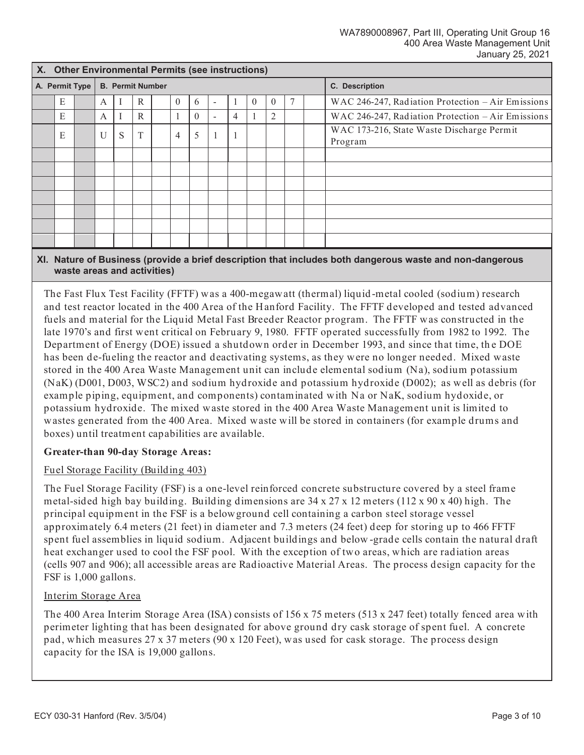|                | X. Other Environmental Permits (see instructions) |  |                         |   |   |  |                |          |                          |    |          |                |  |                                                      |
|----------------|---------------------------------------------------|--|-------------------------|---|---|--|----------------|----------|--------------------------|----|----------|----------------|--|------------------------------------------------------|
| A. Permit Type |                                                   |  | <b>B. Permit Number</b> |   |   |  |                |          |                          |    |          | C. Description |  |                                                      |
|                | E                                                 |  | A                       |   | R |  | $\theta$       | 6        | $\overline{\phantom{a}}$ |    | $\theta$ | $\theta$       |  | WAC 246-247, Radiation Protection – Air Emissions    |
|                | E                                                 |  | А                       |   | R |  |                | $\theta$ | $\overline{\phantom{a}}$ | 4  |          | $\overline{2}$ |  | WAC 246-247, Radiation Protection - Air Emissions    |
|                | E                                                 |  | $\overline{U}$          | S | T |  | $\overline{4}$ | 5        | 1                        | -1 |          |                |  | WAC 173-216, State Waste Discharge Permit<br>Program |
|                |                                                   |  |                         |   |   |  |                |          |                          |    |          |                |  |                                                      |
|                |                                                   |  |                         |   |   |  |                |          |                          |    |          |                |  |                                                      |
|                |                                                   |  |                         |   |   |  |                |          |                          |    |          |                |  |                                                      |
|                |                                                   |  |                         |   |   |  |                |          |                          |    |          |                |  |                                                      |
|                |                                                   |  |                         |   |   |  |                |          |                          |    |          |                |  |                                                      |
|                |                                                   |  |                         |   |   |  |                |          |                          |    |          |                |  |                                                      |
|                |                                                   |  |                         |   |   |  |                |          |                          |    |          |                |  |                                                      |

## **XI. Nature of Business (provide a brief description that includes both dangerous waste and non-dangerous waste areas and activities)**

The Fast Flux Test Facility (FFTF) was a 400-megawatt (thermal) liquid -metal cooled (sodium) research and test reactor located in the 400 Area of the Hanford Facility. The FFTF developed and tested advanced fuels and material for the Liquid Metal Fast Breeder Reactor program. The FFTF was constructed in the late 1970's and first went critical on February 9, 1980. FFTF operated successfully from 1982 to 1992. The Department of Energy (DOE) issued a shutdown order in December 1993, and since that time, th e DOE has been de-fueling the reactor and deactivating systems, as they were no longer needed. Mixed waste stored in the 400 Area Waste Management unit can include elemental sodium (Na), sodium potassium (NaK) (D001, D003, WSC2) and sodium hydroxide and potassium hydroxide (D002); as well as debris (for example piping, equipment, and components) contaminated with Na or NaK, sodium hydoxide, or potassium hydroxide. The mixed waste stored in the 400 Area Waste Management unit is limited to wastes generated from the 400 Area. Mixed waste will be stored in containers (for example drums and boxes) until treatment capabilities are available.

## **Greater-than 90-day Storage Areas:**

## Fuel Storage Facility (Building 403)

The Fuel Storage Facility (FSF) is a one-level reinforced concrete substructure covered by a steel frame metal-sided high bay building. Building dimensions are 34 x 27 x 12 meters (112 x 90 x 40) high. The principal equipment in the FSF is a belowground cell containing a carbon steel storage vessel approximately 6.4 meters (21 feet) in diameter and 7.3 meters (24 feet) deep for storing up to 466 FFTF spent fuel assemblies in liquid sodium. Adjacent buildings and below -grade cells contain the natural draft heat exchanger used to cool the FSF pool. With the exception of two areas, which are radiation areas (cells 907 and 906); all accessible areas are Radioactive Material Areas. The process design capacity for the FSF is 1,000 gallons.

## Interim Storage Area

The 400 Area Interim Storage Area (ISA) consists of 156 x 75 meters (513 x 247 feet) totally fenced area with perimeter lighting that has been designated for above ground dry cask storage of spent fuel. A concrete pad, which measures 27 x 37 meters (90 x 120 Feet), was used for cask storage. The process design capacity for the ISA is 19,000 gallons.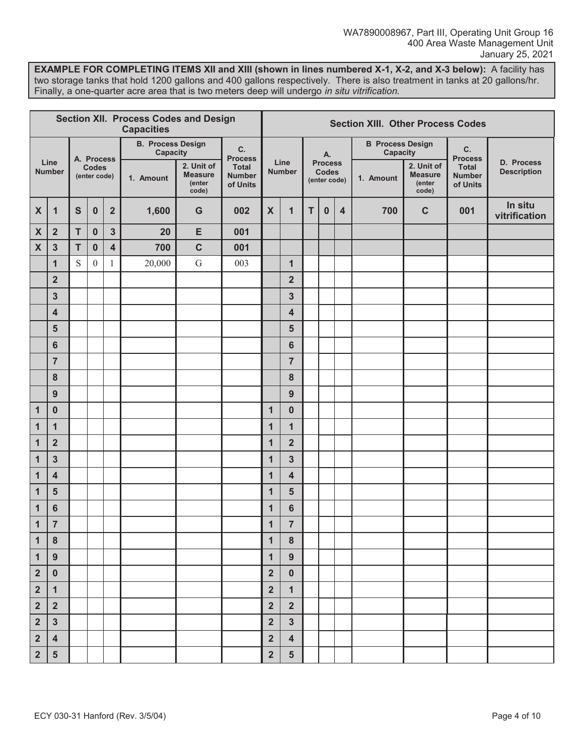**EXAMPLE FOR COMPLETING ITEMS XII and XIII (shown in lines numbered X-1, X-2, and X-3 below):** A facility has two storage tanks that hold 1200 gallons and 400 gallons respectively. There is also treatment in tanks at 20 gallons/hr. Finally, a one-quarter acre area that is two meters deep will undergo in situ vitrification.

| <b>Section XII. Process Codes and Design</b><br><b>Capacities</b> |                         |                                            |              |                |                                      |                                                                                              |                      |                         | <b>Section XIII. Other Process Codes</b> |                                                |                                     |  |                                     |                                                 |                                           |                                  |  |  |  |  |  |
|-------------------------------------------------------------------|-------------------------|--------------------------------------------|--------------|----------------|--------------------------------------|----------------------------------------------------------------------------------------------|----------------------|-------------------------|------------------------------------------|------------------------------------------------|-------------------------------------|--|-------------------------------------|-------------------------------------------------|-------------------------------------------|----------------------------------|--|--|--|--|--|
|                                                                   |                         |                                            |              |                | <b>B. Process Design</b><br>Capacity |                                                                                              | C.<br><b>Process</b> |                         |                                          |                                                | А.                                  |  | <b>B</b> Process Design<br>Capacity |                                                 | C.<br><b>Process</b>                      |                                  |  |  |  |  |  |
|                                                                   | Line<br><b>Number</b>   | A. Process<br><b>Codes</b><br>(enter code) |              |                | 1. Amount                            | 2. Unit of<br><b>Total</b><br><b>Measure</b><br><b>Number</b><br>(enter<br>of Units<br>code) |                      | Line<br><b>Number</b>   |                                          | <b>Process</b><br><b>Codes</b><br>(enter code) |                                     |  | 1. Amount                           | 2. Unit of<br><b>Measure</b><br>(enter<br>code) | <b>Total</b><br><b>Number</b><br>of Units | D. Process<br><b>Description</b> |  |  |  |  |  |
| $\boldsymbol{\mathsf{X}}$                                         | $\mathbf{1}$            | $\mathbf S$                                | $\pmb{0}$    | $\overline{2}$ | 1,600                                | G                                                                                            | 002                  | X                       | $\mathbf{1}$                             | T                                              | $\bf{0}$<br>$\overline{\mathbf{4}}$ |  | 700                                 | $\mathbf C$                                     | 001                                       | In situ<br>vitrification         |  |  |  |  |  |
| $\pmb{\chi}$                                                      | $\overline{\mathbf{2}}$ | $\mathsf T$                                | $\pmb{0}$    | 3              | 20                                   | E                                                                                            | 001                  |                         |                                          |                                                |                                     |  |                                     |                                                 |                                           |                                  |  |  |  |  |  |
| $\boldsymbol{\mathsf{X}}$                                         | 3                       | T                                          | $\bf{0}$     | 4              | 700                                  | $\mathbf C$                                                                                  | 001                  |                         |                                          |                                                |                                     |  |                                     |                                                 |                                           |                                  |  |  |  |  |  |
|                                                                   | 1                       | S                                          | $\mathbf{0}$ | 1              | 20,000                               | $\overline{G}$                                                                               | 003                  |                         | $\mathbf{1}$                             |                                                |                                     |  |                                     |                                                 |                                           |                                  |  |  |  |  |  |
|                                                                   | $\overline{2}$          |                                            |              |                |                                      |                                                                                              |                      |                         | $\overline{\mathbf{2}}$                  |                                                |                                     |  |                                     |                                                 |                                           |                                  |  |  |  |  |  |
|                                                                   | 3                       |                                            |              |                |                                      |                                                                                              |                      |                         | $\mathbf{3}$                             |                                                |                                     |  |                                     |                                                 |                                           |                                  |  |  |  |  |  |
|                                                                   | $\overline{\mathbf{4}}$ |                                            |              |                |                                      |                                                                                              |                      |                         | $\overline{\mathbf{4}}$                  |                                                |                                     |  |                                     |                                                 |                                           |                                  |  |  |  |  |  |
|                                                                   | 5                       |                                            |              |                |                                      |                                                                                              |                      |                         | 5                                        |                                                |                                     |  |                                     |                                                 |                                           |                                  |  |  |  |  |  |
|                                                                   | 6                       |                                            |              |                |                                      |                                                                                              |                      |                         | $6\phantom{1}6$                          |                                                |                                     |  |                                     |                                                 |                                           |                                  |  |  |  |  |  |
|                                                                   | $\overline{7}$          |                                            |              |                |                                      |                                                                                              |                      |                         | $\overline{7}$                           |                                                |                                     |  |                                     |                                                 |                                           |                                  |  |  |  |  |  |
|                                                                   | 8                       |                                            |              |                |                                      |                                                                                              |                      |                         | 8                                        |                                                |                                     |  |                                     |                                                 |                                           |                                  |  |  |  |  |  |
|                                                                   | 9                       |                                            |              |                |                                      |                                                                                              |                      |                         | 9                                        |                                                |                                     |  |                                     |                                                 |                                           |                                  |  |  |  |  |  |
| $\mathbf{1}$                                                      | $\bf{0}$                |                                            |              |                |                                      |                                                                                              |                      | 1                       | $\bf{0}$                                 |                                                |                                     |  |                                     |                                                 |                                           |                                  |  |  |  |  |  |
| $\mathbf{1}$                                                      | 1                       |                                            |              |                |                                      |                                                                                              |                      | $\mathbf{1}$            | $\mathbf{1}$                             |                                                |                                     |  |                                     |                                                 |                                           |                                  |  |  |  |  |  |
| $\mathbf{1}$                                                      | $\overline{\mathbf{2}}$ |                                            |              |                |                                      |                                                                                              |                      | 1                       | $\overline{\mathbf{2}}$                  |                                                |                                     |  |                                     |                                                 |                                           |                                  |  |  |  |  |  |
| $\mathbf{1}$                                                      | 3                       |                                            |              |                |                                      |                                                                                              |                      | $\mathbf{1}$            | $\mathbf{3}$                             |                                                |                                     |  |                                     |                                                 |                                           |                                  |  |  |  |  |  |
| $\mathbf{1}$                                                      | $\overline{\mathbf{4}}$ |                                            |              |                |                                      |                                                                                              |                      | $\overline{\mathbf{1}}$ | $\overline{\mathbf{4}}$                  |                                                |                                     |  |                                     |                                                 |                                           |                                  |  |  |  |  |  |
| $\mathbf{1}$                                                      | 5                       |                                            |              |                |                                      |                                                                                              |                      | $\mathbf{1}$            | 5                                        |                                                |                                     |  |                                     |                                                 |                                           |                                  |  |  |  |  |  |
| $\mathbf{1}$                                                      | 6                       |                                            |              |                |                                      |                                                                                              |                      | 1                       | $6\phantom{1}6$                          |                                                |                                     |  |                                     |                                                 |                                           |                                  |  |  |  |  |  |
| $\mathbf{1}$                                                      | $\overline{7}$          |                                            |              |                |                                      |                                                                                              |                      | 1                       | $\overline{7}$                           |                                                |                                     |  |                                     |                                                 |                                           |                                  |  |  |  |  |  |
| $\mathbf{1}$                                                      | $\boldsymbol{8}$        |                                            |              |                |                                      |                                                                                              |                      | 1                       | 8                                        |                                                |                                     |  |                                     |                                                 |                                           |                                  |  |  |  |  |  |
| $\mathbf{1}$                                                      | 9                       |                                            |              |                |                                      |                                                                                              |                      | $\mathbf{1}$            | 9                                        |                                                |                                     |  |                                     |                                                 |                                           |                                  |  |  |  |  |  |
| $\overline{2}$                                                    | $\mathbf{0}$            |                                            |              |                |                                      |                                                                                              |                      | $\mathbf 2$             | $\mathbf 0$                              |                                                |                                     |  |                                     |                                                 |                                           |                                  |  |  |  |  |  |
| $\overline{\mathbf{2}}$                                           | $\mathbf{1}$            |                                            |              |                |                                      |                                                                                              |                      | $\overline{\mathbf{2}}$ | $\mathbf{1}$                             |                                                |                                     |  |                                     |                                                 |                                           |                                  |  |  |  |  |  |
| $\overline{\mathbf{2}}$                                           | $\overline{2}$          |                                            |              |                |                                      |                                                                                              |                      | $\overline{\mathbf{2}}$ | $\overline{2}$                           |                                                |                                     |  |                                     |                                                 |                                           |                                  |  |  |  |  |  |
| $\overline{2}$                                                    | $\mathbf{3}$            |                                            |              |                |                                      |                                                                                              |                      | $\overline{2}$          | $\mathbf{3}$                             |                                                |                                     |  |                                     |                                                 |                                           |                                  |  |  |  |  |  |
| $\overline{2}$                                                    | $\overline{4}$          |                                            |              |                |                                      |                                                                                              |                      | $\overline{2}$          | $\overline{\mathbf{4}}$                  |                                                |                                     |  |                                     |                                                 |                                           |                                  |  |  |  |  |  |
| $\overline{2}$                                                    | 5                       |                                            |              |                |                                      |                                                                                              |                      | $\overline{\mathbf{2}}$ | 5                                        |                                                |                                     |  |                                     |                                                 |                                           |                                  |  |  |  |  |  |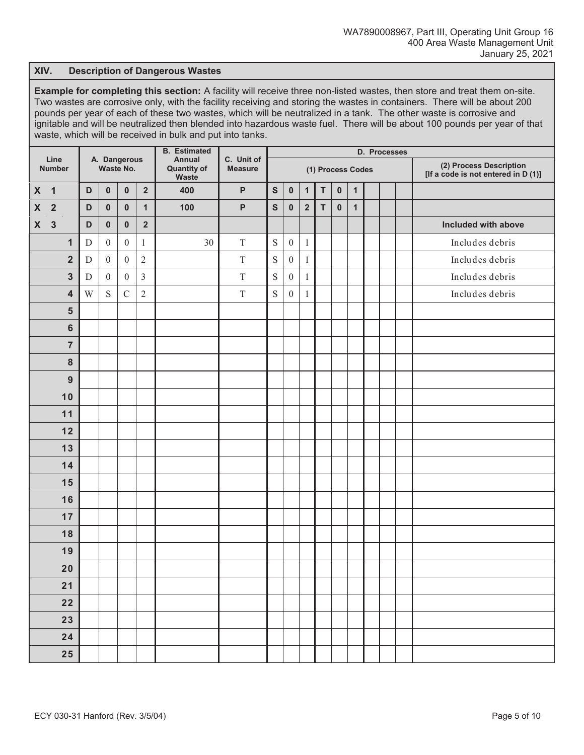### **XIV. Description of Dangerous Wastes**

**Example for completing this section:** A facility will receive three non-listed wastes, then store and treat them on-site. Two wastes are corrosive only, with the facility receiving and storing the wastes in containers. There will be about 200 pounds per year of each of these two wastes, which will be neutralized in a tank. The other waste is corrosive and ignitable and will be neutralized then blended into hazardous waste fuel. There will be about 100 pounds per year of that waste, which will be received in bulk and put into tanks.

| Line               |                         |             |                  |                           |                         | <b>B.</b> Estimated                   | C. Unit of     | D. Processes |                  |                         |                   |           |              |  |  |  |                                                                |  |  |  |
|--------------------|-------------------------|-------------|------------------|---------------------------|-------------------------|---------------------------------------|----------------|--------------|------------------|-------------------------|-------------------|-----------|--------------|--|--|--|----------------------------------------------------------------|--|--|--|
|                    | <b>Number</b>           |             |                  | A. Dangerous<br>Waste No. |                         | Annual<br><b>Quantity of</b><br>Waste | <b>Measure</b> |              |                  |                         | (1) Process Codes |           |              |  |  |  | (2) Process Description<br>[If a code is not entered in D (1)] |  |  |  |
| $\boldsymbol{X}$   | $\overline{\mathbf{1}}$ | D           | $\pmb{0}$        | $\pmb{0}$                 | $\overline{\mathbf{2}}$ | 400                                   | $\mathsf{P}$   | ${\sf S}$    | $\pmb{0}$        | $\mathbf{1}$            | T                 | $\pmb{0}$ | $\mathbf{1}$ |  |  |  |                                                                |  |  |  |
| $\pmb{\mathsf{X}}$ | $\overline{2}$          | D           | $\pmb{0}$        | $\pmb{0}$                 | $\mathbf{1}$            | 100                                   | P              | $\mathbf{s}$ | $\pmb{0}$        | $\overline{\mathbf{2}}$ | $\mathsf{T}$      | $\pmb{0}$ | $\mathbf{1}$ |  |  |  |                                                                |  |  |  |
| $\pmb{\mathsf{X}}$ | $\mathbf{3}$            | $\mathsf D$ | $\pmb{0}$        | $\pmb{0}$                 | $\overline{\mathbf{2}}$ |                                       |                |              |                  |                         |                   |           |              |  |  |  | Included with above                                            |  |  |  |
|                    | $\mathbf{1}$            | D           | $\boldsymbol{0}$ | $\boldsymbol{0}$          | $\mathbf{1}$            | 30                                    | $\mathbf T$    | $\mathbf S$  | $\boldsymbol{0}$ | $\mathbf{1}$            |                   |           |              |  |  |  | Includes debris                                                |  |  |  |
|                    | $\overline{\mathbf{2}}$ | $\mathbf D$ | $\mathbf{0}$     | $\boldsymbol{0}$          | $\overline{c}$          |                                       | $\mathbf T$    | $\mathbf S$  | $\boldsymbol{0}$ | $\mathbf{1}$            |                   |           |              |  |  |  | Includes debris                                                |  |  |  |
|                    | $\mathbf{3}$            | $\mathbf D$ | $\boldsymbol{0}$ | $\boldsymbol{0}$          | $\mathfrak{Z}$          |                                       | $\mathbf T$    | $\mathbf S$  | $\boldsymbol{0}$ | 1                       |                   |           |              |  |  |  | Includes debris                                                |  |  |  |
|                    | $\overline{\mathbf{4}}$ | W           | $\mathbf S$      | $\mathcal{C}$             | $\overline{2}$          |                                       | $\mathcal T$   | $\mathbf S$  | $\boldsymbol{0}$ | $\mathbf{1}$            |                   |           |              |  |  |  | Includes debris                                                |  |  |  |
|                    | $5\phantom{1}$          |             |                  |                           |                         |                                       |                |              |                  |                         |                   |           |              |  |  |  |                                                                |  |  |  |
|                    | $6\phantom{1}6$         |             |                  |                           |                         |                                       |                |              |                  |                         |                   |           |              |  |  |  |                                                                |  |  |  |
|                    | $\overline{7}$          |             |                  |                           |                         |                                       |                |              |                  |                         |                   |           |              |  |  |  |                                                                |  |  |  |
|                    | 8                       |             |                  |                           |                         |                                       |                |              |                  |                         |                   |           |              |  |  |  |                                                                |  |  |  |
|                    | 9                       |             |                  |                           |                         |                                       |                |              |                  |                         |                   |           |              |  |  |  |                                                                |  |  |  |
|                    | 10                      |             |                  |                           |                         |                                       |                |              |                  |                         |                   |           |              |  |  |  |                                                                |  |  |  |
|                    | 11                      |             |                  |                           |                         |                                       |                |              |                  |                         |                   |           |              |  |  |  |                                                                |  |  |  |
|                    | 12                      |             |                  |                           |                         |                                       |                |              |                  |                         |                   |           |              |  |  |  |                                                                |  |  |  |
|                    | 13                      |             |                  |                           |                         |                                       |                |              |                  |                         |                   |           |              |  |  |  |                                                                |  |  |  |
|                    | 14                      |             |                  |                           |                         |                                       |                |              |                  |                         |                   |           |              |  |  |  |                                                                |  |  |  |
|                    | 15                      |             |                  |                           |                         |                                       |                |              |                  |                         |                   |           |              |  |  |  |                                                                |  |  |  |
|                    | 16                      |             |                  |                           |                         |                                       |                |              |                  |                         |                   |           |              |  |  |  |                                                                |  |  |  |
|                    | 17                      |             |                  |                           |                         |                                       |                |              |                  |                         |                   |           |              |  |  |  |                                                                |  |  |  |
|                    | 18                      |             |                  |                           |                         |                                       |                |              |                  |                         |                   |           |              |  |  |  |                                                                |  |  |  |
|                    | 19                      |             |                  |                           |                         |                                       |                |              |                  |                         |                   |           |              |  |  |  |                                                                |  |  |  |
|                    | 20                      |             |                  |                           |                         |                                       |                |              |                  |                         |                   |           |              |  |  |  |                                                                |  |  |  |
|                    | 21                      |             |                  |                           |                         |                                       |                |              |                  |                         |                   |           |              |  |  |  |                                                                |  |  |  |
|                    | 22                      |             |                  |                           |                         |                                       |                |              |                  |                         |                   |           |              |  |  |  |                                                                |  |  |  |
|                    | 23                      |             |                  |                           |                         |                                       |                |              |                  |                         |                   |           |              |  |  |  |                                                                |  |  |  |
|                    | 24                      |             |                  |                           |                         |                                       |                |              |                  |                         |                   |           |              |  |  |  |                                                                |  |  |  |
|                    | 25                      |             |                  |                           |                         |                                       |                |              |                  |                         |                   |           |              |  |  |  |                                                                |  |  |  |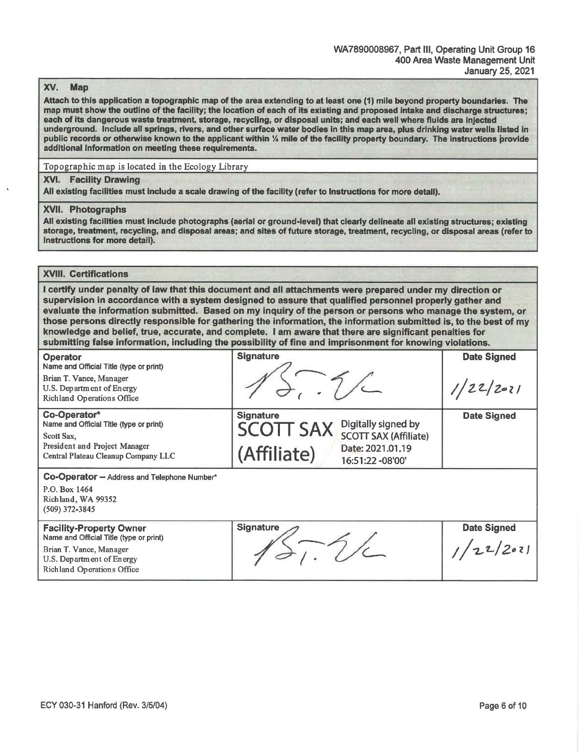#### XV. **Map**

Attach to this application a topographic map of the area extending to at least one (1) mile beyond property boundaries. The map must show the outline of the facility; the location of each of its existing and proposed intake and discharge structures; each of its dangerous waste treatment, storage, recycling, or disposal units; and each well where fluids are injected underground. Include all springs, rivers, and other surface water bodies in this map area, plus drinking water wells listed in public records or otherwise known to the applicant within % mile of the facility property boundary. The instructions provide additional information on meeting these requirements.

Topographic map is located in the Ecology Library

#### **XVI.** Facility Drawing

All existing facilities must include a scale drawing of the facility (refer to Instructions for more detail).

#### **XVII. Photographs**

All existing facilities must include photographs (aerial or ground-level) that clearly delineate all existing structures; existing storage, treatment, recycling, and disposal areas; and sites of future storage, treatment, recycling, or disposal areas (refer to Instructions for more detail).

## **XVIII. Certifications**

I certify under penalty of law that this document and all attachments were prepared under my direction or supervision in accordance with a system designed to assure that qualified personnel properly gather and evaluate the information submitted. Based on my inquiry of the person or persons who manage the system, or those persons directly responsible for gathering the information, the information submitted is, to the best of my knowledge and belief, true, accurate, and complete. I am aware that there are significant penalties for submitting false information, including the possibility of fine and imprisonment for knowing violations.

| <b>Operator</b><br>Name and Official Title (type or print)<br>Brian T. Vance, Manager | <b>Signature</b>                                                                            | <b>Date Signed</b> |
|---------------------------------------------------------------------------------------|---------------------------------------------------------------------------------------------|--------------------|
| U.S. Department of Energy<br>Richland Operations Office                               |                                                                                             | 2021               |
| Co-Operator*<br>Name and Official Title (type or print)<br>Scott Sax,                 | <b>Signature</b><br>Digitally signed by<br><b>SCOTT SAX</b><br><b>SCOTT SAX (Affiliate)</b> | <b>Date Signed</b> |
| President and Project Manager<br>Central Plateau Cleanup Company LLC                  | Date: 2021.01.19<br>(Affiliate)<br>16:51:22 -08'00'                                         |                    |
| <b>Co-Operator - Address and Telephone Number*</b><br>P.O. Box 1464                   |                                                                                             |                    |
| Richland, WA 99352<br>$(509)$ 372-3845                                                |                                                                                             |                    |
| <b>Facility-Property Owner</b><br>Name and Official Title (type or print)             | Signature                                                                                   | <b>Date Signed</b> |
| Brian T. Vance, Manager<br>U.S. Department of Energy<br>Richland Operations Office    |                                                                                             |                    |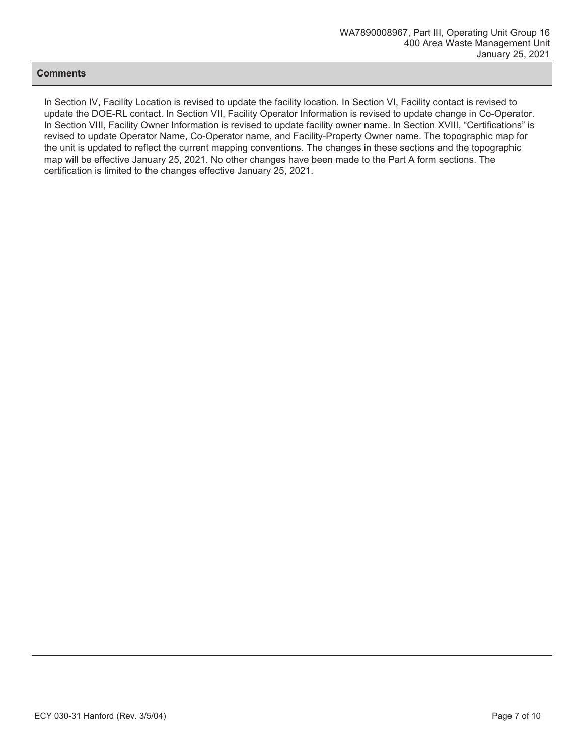## **Comments**

In Section IV, Facility Location is revised to update the facility location. In Section VI, Facility contact is revised to update the DOE-RL contact. In Section VII, Facility Operator Information is revised to update change in Co-Operator. In Section VIII, Facility Owner Information is revised to update facility owner name. In Section XVIII, "Certifications" is revised to update Operator Name, Co-Operator name, and Facility-Property Owner name. The topographic map for the unit is updated to reflect the current mapping conventions. The changes in these sections and the topographic map will be effective January 25, 2021. No other changes have been made to the Part A form sections. The certification is limited to the changes effective January 25, 2021.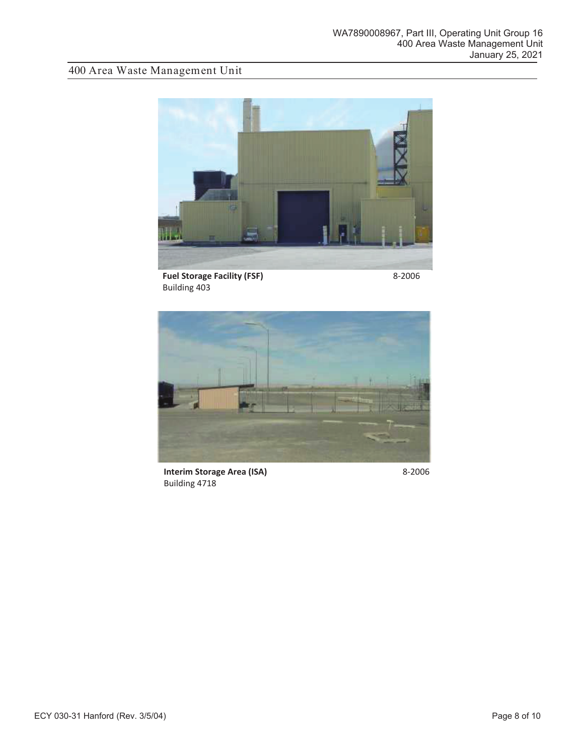# 400 Area Waste Management Unit



**Fuel Storage Facility (FSF) Building 403** 

8-2006



**Interim Storage Area (ISA)** Building 4718

8-2006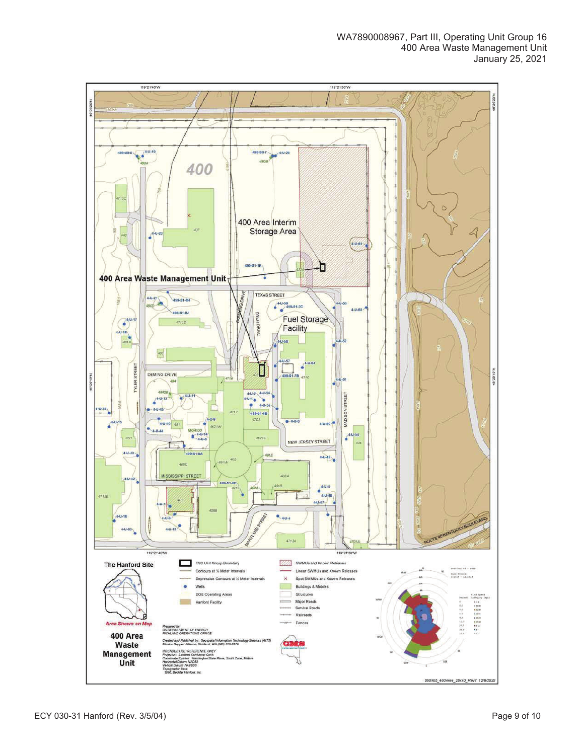